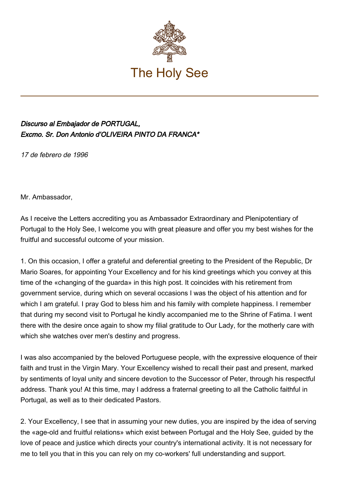

## Discurso al Embajador de PORTUGAL, Excmo. Sr. Don Antonio d'OLIVEIRA PINTO DA FRANCA\*

17 de febrero de 1996

Mr. Ambassador,

As I receive the Letters accrediting you as Ambassador Extraordinary and Plenipotentiary of Portugal to the Holy See, I welcome you with great pleasure and offer you my best wishes for the fruitful and successful outcome of your mission.

1. On this occasion, I offer a grateful and deferential greeting to the President of the Republic, Dr Mario Soares, for appointing Your Excellency and for his kind greetings which you convey at this time of the «changing of the guarda» in this high post. It coincides with his retirement from government service, during which on several occasions I was the object of his attention and for which I am grateful. I pray God to bless him and his family with complete happiness. I remember that during my second visit to Portugal he kindly accompanied me to the Shrine of Fatima. I went there with the desire once again to show my filial gratitude to Our Lady, for the motherly care with which she watches over men's destiny and progress.

I was also accompanied by the beloved Portuguese people, with the expressive eloquence of their faith and trust in the Virgin Mary. Your Excellency wished to recall their past and present, marked by sentiments of loyal unity and sincere devotion to the Successor of Peter, through his respectful address. Thank you! At this time, may I address a fraternal greeting to all the Catholic faithful in Portugal, as well as to their dedicated Pastors.

2. Your Excellency, I see that in assuming your new duties, you are inspired by the idea of serving the «age‑old and fruitful relations» which exist between Portugal and the Holy See, guided by the love of peace and justice which directs your country's international activity. It is not necessary for me to tell you that in this you can rely on my co-workers' full understanding and support.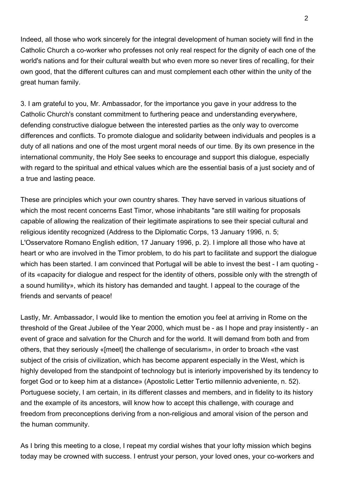Indeed, all those who work sincerely for the integral development of human society will find in the Catholic Church a co‑worker who professes not only real respect for the dignity of each one of the world's nations and for their cultural wealth but who even more so never tires of recalling, for their own good, that the different cultures can and must complement each other within the unity of the great human family.

3. I am grateful to you, Mr. Ambassador, for the importance you gave in your address to the Catholic Church's constant commitment to furthering peace and understanding everywhere, defending constructive dialogue between the interested parties as the only way to overcome differences and conflicts. To promote dialogue and solidarity between individuals and peoples is a duty of all nations and one of the most urgent moral needs of our time. By its own presence in the international community, the Holy See seeks to encourage and support this dialogue, especially with regard to the spiritual and ethical values which are the essential basis of a just society and of a true and lasting peace.

These are principles which your own country shares. They have served in various situations of which the most recent concerns East Timor, whose inhabitants "are still waiting for proposals capable of allowing the realization of their legitimate aspirations to see their special cultural and religious identity recognized (Address to the Diplomatic Corps, 13 January 1996, n. 5; L'Osservatore Romano English edition, 17 January 1996, p. 2). I implore all those who have at heart or who are involved in the Timor problem, to do his part to facilitate and support the dialogue which has been started. I am convinced that Portugal will be able to invest the best - I am quoting of its «capacity for dialogue and respect for the identity of others, possible only with the strength of a sound humility», which its history has demanded and taught. I appeal to the courage of the friends and servants of peace!

Lastly, Mr. Ambassador, I would like to mention the emotion you feel at arriving in Rome on the threshold of the Great Jubilee of the Year 2000, which must be - as I hope and pray insistently - an event of grace and salvation for the Church and for the world. It will demand from both and from others, that they seriously «[meet] the challenge of secularism», in order to broach «the vast subject of the crisis of civilization, which has become apparent especially in the West, which is highly developed from the standpoint of technology but is interiorly impoverished by its tendency to forget God or to keep him at a distance» (Apostolic Letter Tertio millennio adveniente, n. 52). Portuguese society, I am certain, in its different classes and members, and in fidelity to its history and the example of its ancestors, will know how to accept this challenge, with courage and freedom from preconceptions deriving from a non-religious and amoral vision of the person and the human community.

As I bring this meeting to a close, I repeat my cordial wishes that your lofty mission which begins today may be crowned with success. I entrust your person, your loved ones, your co-workers and